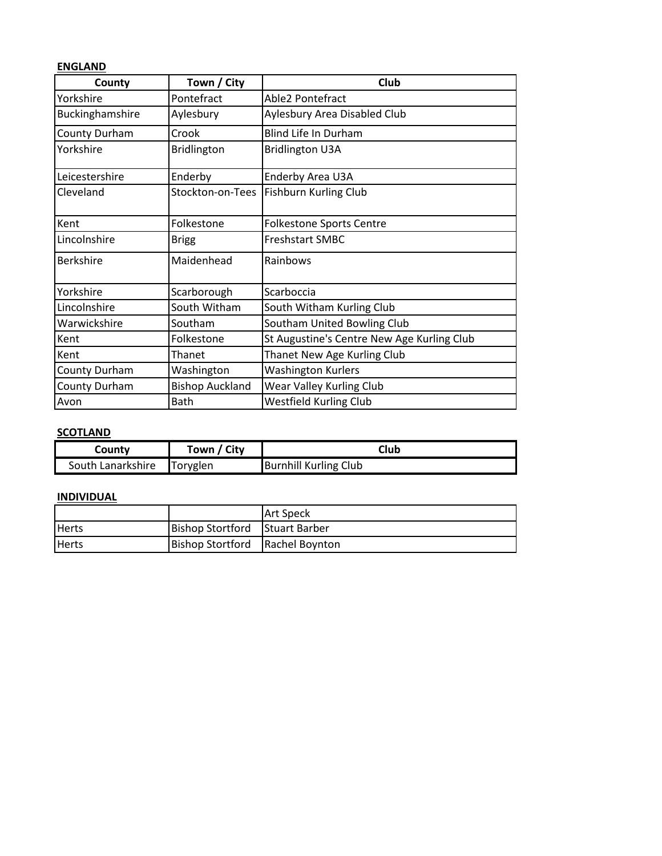## **ENGLAND**

| County           | Town / City            | Club                                       |
|------------------|------------------------|--------------------------------------------|
| Yorkshire        | Pontefract             | Able2 Pontefract                           |
| Buckinghamshire  | Aylesbury              | Aylesbury Area Disabled Club               |
| County Durham    | Crook                  | Blind Life In Durham                       |
| Yorkshire        | Bridlington            | <b>Bridlington U3A</b>                     |
| Leicestershire   | Enderby                | Enderby Area U3A                           |
| Cleveland        | Stockton-on-Tees       | Fishburn Kurling Club                      |
| Kent             | Folkestone             | <b>Folkestone Sports Centre</b>            |
| Lincolnshire     | <b>Brigg</b>           | <b>Freshstart SMBC</b>                     |
| <b>Berkshire</b> | Maidenhead             | Rainbows                                   |
| Yorkshire        | Scarborough            | Scarboccia                                 |
| Lincolnshire     | South Witham           | South Witham Kurling Club                  |
| Warwickshire     | Southam                | Southam United Bowling Club                |
| Kent             | Folkestone             | St Augustine's Centre New Age Kurling Club |
| Kent             | Thanet                 | Thanet New Age Kurling Club                |
| County Durham    | Washington             | <b>Washington Kurlers</b>                  |
| County Durham    | <b>Bishop Auckland</b> | Wear Valley Kurling Club                   |
| Avon             | Bath                   | <b>Westfield Kurling Club</b>              |

## **SCOTLAND**

| County            | Town / City     | Club                         |
|-------------------|-----------------|------------------------------|
| South Lanarkshire | <b>Toryglen</b> | <b>Burnhill Kurling Club</b> |

## **INDIVIDUAL**

|              |                                   | <b>IArt Speck</b> |
|--------------|-----------------------------------|-------------------|
| <b>Herts</b> | Bishop Stortford Stuart Barber    |                   |
| <b>Herts</b> | Bishop Stortford   Rachel Boynton |                   |
|              |                                   |                   |